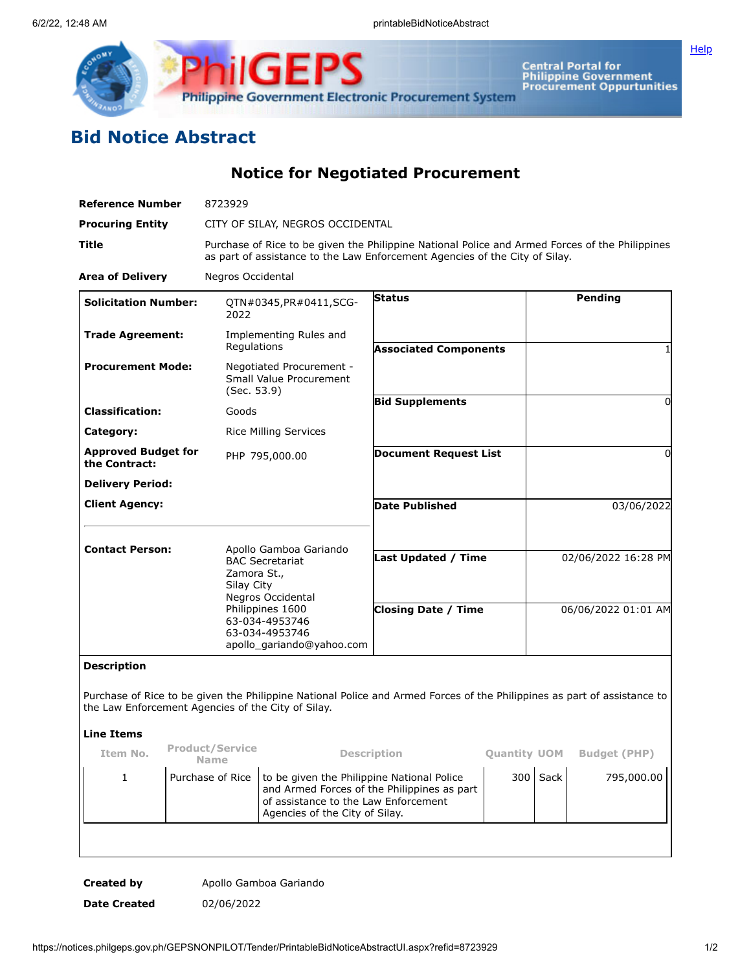

**Central Portal for<br>Philippine Government<br>Procurement Oppurtunities** 

## **Bid Notice Abstract**

**Notice for Negotiated Procurement**

| <b>Reference Number</b>                            | 8723929                                                                                                                                                                        |                                                                                   |                                                                                                                          |                     |                     |                     |
|----------------------------------------------------|--------------------------------------------------------------------------------------------------------------------------------------------------------------------------------|-----------------------------------------------------------------------------------|--------------------------------------------------------------------------------------------------------------------------|---------------------|---------------------|---------------------|
| <b>Procuring Entity</b>                            | CITY OF SILAY, NEGROS OCCIDENTAL                                                                                                                                               |                                                                                   |                                                                                                                          |                     |                     |                     |
| Title                                              | Purchase of Rice to be given the Philippine National Police and Armed Forces of the Philippines<br>as part of assistance to the Law Enforcement Agencies of the City of Silay. |                                                                                   |                                                                                                                          |                     |                     |                     |
| <b>Area of Delivery</b>                            | Negros Occidental                                                                                                                                                              |                                                                                   |                                                                                                                          |                     |                     |                     |
| <b>Solicitation Number:</b>                        | 2022                                                                                                                                                                           | QTN#0345, PR#0411, SCG-                                                           | <b>Status</b>                                                                                                            |                     |                     | Pending             |
| <b>Trade Agreement:</b>                            | Regulations                                                                                                                                                                    | Implementing Rules and                                                            | <b>Associated Components</b>                                                                                             |                     |                     |                     |
| <b>Procurement Mode:</b>                           | (Sec. 53.9)                                                                                                                                                                    | Negotiated Procurement -<br>Small Value Procurement                               |                                                                                                                          |                     | 0                   |                     |
| <b>Classification:</b>                             | Goods                                                                                                                                                                          |                                                                                   | <b>Bid Supplements</b>                                                                                                   |                     |                     |                     |
| Category:                                          |                                                                                                                                                                                | <b>Rice Milling Services</b>                                                      |                                                                                                                          |                     |                     |                     |
| <b>Approved Budget for</b><br>the Contract:        |                                                                                                                                                                                | PHP 795,000.00                                                                    | <b>Document Request List</b>                                                                                             |                     |                     | 0                   |
| <b>Delivery Period:</b>                            |                                                                                                                                                                                |                                                                                   |                                                                                                                          |                     |                     |                     |
| <b>Client Agency:</b>                              |                                                                                                                                                                                |                                                                                   | <b>Date Published</b>                                                                                                    |                     | 03/06/2022          |                     |
|                                                    |                                                                                                                                                                                |                                                                                   |                                                                                                                          |                     |                     |                     |
| <b>Contact Person:</b>                             | Zamora St.,<br>Silay City                                                                                                                                                      | Apollo Gamboa Gariando<br><b>BAC Secretariat</b><br>Negros Occidental             | Last Updated / Time                                                                                                      |                     | 02/06/2022 16:28 PM |                     |
|                                                    |                                                                                                                                                                                | Philippines 1600<br>63-034-4953746<br>63-034-4953746<br>apollo_gariando@yahoo.com | <b>Closing Date / Time</b>                                                                                               |                     | 06/06/2022 01:01 AM |                     |
| <b>Description</b>                                 |                                                                                                                                                                                |                                                                                   |                                                                                                                          |                     |                     |                     |
| the Law Enforcement Agencies of the City of Silay. |                                                                                                                                                                                |                                                                                   | Purchase of Rice to be given the Philippine National Police and Armed Forces of the Philippines as part of assistance to |                     |                     |                     |
| <b>Line Items</b>                                  |                                                                                                                                                                                |                                                                                   |                                                                                                                          |                     |                     |                     |
| Item No.                                           | <b>Product/Service</b><br><b>Name</b>                                                                                                                                          |                                                                                   | <b>Description</b>                                                                                                       | <b>Quantity UOM</b> |                     | <b>Budget (PHP)</b> |
| $\mathbf{1}$                                       | Purchase of Rice<br>of assistance to the Law Enforcement<br>Agencies of the City of Silay.                                                                                     |                                                                                   | to be given the Philippine National Police<br>and Armed Forces of the Philippines as part                                |                     | $300$ Sack          | 795,000.00          |
|                                                    |                                                                                                                                                                                |                                                                                   |                                                                                                                          |                     |                     |                     |
| <b>Created by</b>                                  |                                                                                                                                                                                | Apollo Gamboa Gariando                                                            |                                                                                                                          |                     |                     |                     |

**[Help](javascript:void(window.open()** 

**Date Created** 02/06/2022